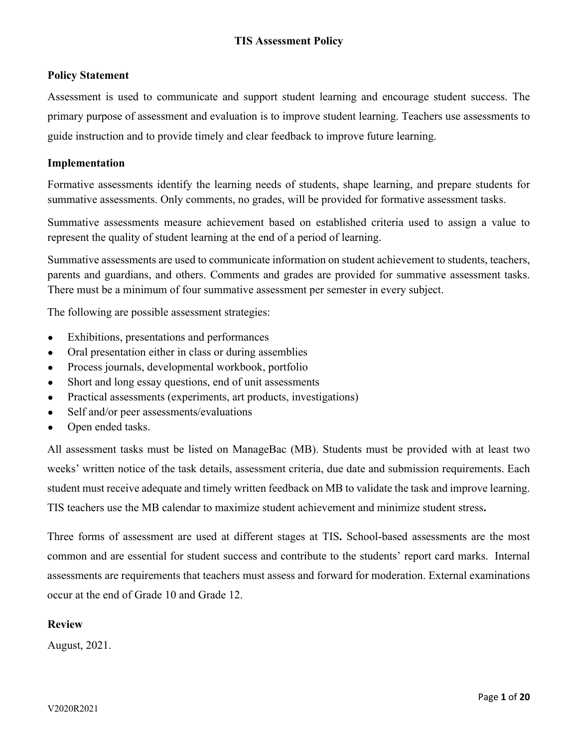# **Policy Statement**

Assessment is used to communicate and support student learning and encourage student success. The primary purpose of assessment and evaluation is to improve student learning. Teachers use assessments to guide instruction and to provide timely and clear feedback to improve future learning.

# **Implementation**

Formative assessments identify the learning needs of students, shape learning, and prepare students for summative assessments. Only comments, no grades, will be provided for formative assessment tasks.

Summative assessments measure achievement based on established criteria used to assign a value to represent the quality of student learning at the end of a period of learning.

Summative assessments are used to communicate information on student achievement to students, teachers, parents and guardians, and others. Comments and grades are provided for summative assessment tasks. There must be a minimum of four summative assessment per semester in every subject.

The following are possible assessment strategies:

- Exhibitions, presentations and performances
- Oral presentation either in class or during assemblies
- Process journals, developmental workbook, portfolio
- Short and long essay questions, end of unit assessments
- Practical assessments (experiments, art products, investigations)
- Self and/or peer assessments/evaluations
- Open ended tasks.

All assessment tasks must be listed on ManageBac (MB). Students must be provided with at least two weeks' written notice of the task details, assessment criteria, due date and submission requirements. Each student must receive adequate and timely written feedback on MB to validate the task and improve learning. TIS teachers use the MB calendar to maximize student achievement and minimize student stress**.** 

Three forms of assessment are used at different stages at TIS**.** School-based assessments are the most common and are essential for student success and contribute to the students' report card marks. Internal assessments are requirements that teachers must assess and forward for moderation. External examinations occur at the end of Grade 10 and Grade 12.

### **Review**

August, 2021.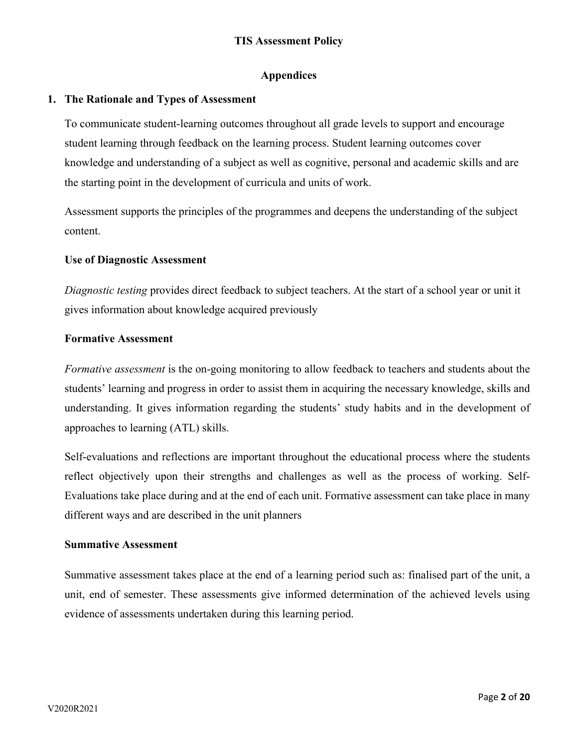# **Appendices**

### **1. The Rationale and Types of Assessment**

To communicate student-learning outcomes throughout all grade levels to support and encourage student learning through feedback on the learning process. Student learning outcomes cover knowledge and understanding of a subject as well as cognitive, personal and academic skills and are the starting point in the development of curricula and units of work.

Assessment supports the principles of the programmes and deepens the understanding of the subject content.

### **Use of Diagnostic Assessment**

*Diagnostic testing* provides direct feedback to subject teachers. At the start of a school year or unit it gives information about knowledge acquired previously

### **Formative Assessment**

*Formative assessment* is the on-going monitoring to allow feedback to teachers and students about the students' learning and progress in order to assist them in acquiring the necessary knowledge, skills and understanding. It gives information regarding the students' study habits and in the development of approaches to learning (ATL) skills.

Self-evaluations and reflections are important throughout the educational process where the students reflect objectively upon their strengths and challenges as well as the process of working. Self-Evaluations take place during and at the end of each unit. Formative assessment can take place in many different ways and are described in the unit planners

### **Summative Assessment**

Summative assessment takes place at the end of a learning period such as: finalised part of the unit, a unit, end of semester. These assessments give informed determination of the achieved levels using evidence of assessments undertaken during this learning period.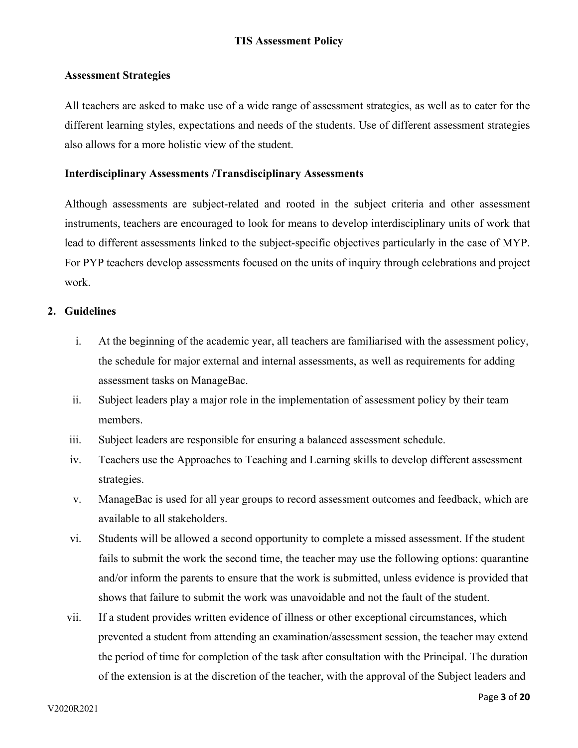### **Assessment Strategies**

All teachers are asked to make use of a wide range of assessment strategies, as well as to cater for the different learning styles, expectations and needs of the students. Use of different assessment strategies also allows for a more holistic view of the student.

### **Interdisciplinary Assessments /Transdisciplinary Assessments**

Although assessments are subject-related and rooted in the subject criteria and other assessment instruments, teachers are encouraged to look for means to develop interdisciplinary units of work that lead to different assessments linked to the subject-specific objectives particularly in the case of MYP. For PYP teachers develop assessments focused on the units of inquiry through celebrations and project work.

### **2. Guidelines**

- i. At the beginning of the academic year, all teachers are familiarised with the assessment policy, the schedule for major external and internal assessments, as well as requirements for adding assessment tasks on ManageBac.
- ii. Subject leaders play a major role in the implementation of assessment policy by their team members.
- iii. Subject leaders are responsible for ensuring a balanced assessment schedule.
- iv. Teachers use the Approaches to Teaching and Learning skills to develop different assessment strategies.
- v. ManageBac is used for all year groups to record assessment outcomes and feedback, which are available to all stakeholders.
- vi. Students will be allowed a second opportunity to complete a missed assessment. If the student fails to submit the work the second time, the teacher may use the following options: quarantine and/or inform the parents to ensure that the work is submitted, unless evidence is provided that shows that failure to submit the work was unavoidable and not the fault of the student.
- vii. If a student provides written evidence of illness or other exceptional circumstances, which prevented a student from attending an examination/assessment session, the teacher may extend the period of time for completion of the task after consultation with the Principal. The duration of the extension is at the discretion of the teacher, with the approval of the Subject leaders and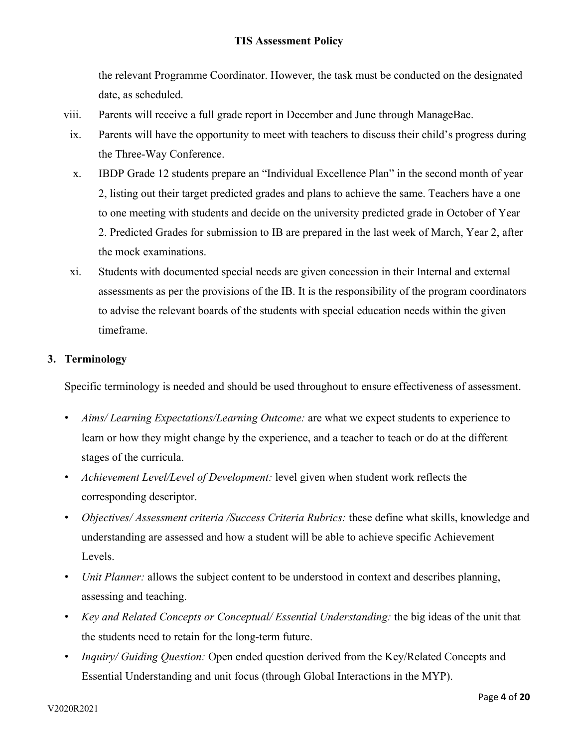the relevant Programme Coordinator. However, the task must be conducted on the designated date, as scheduled.

- viii. Parents will receive a full grade report in December and June through ManageBac.
- ix. Parents will have the opportunity to meet with teachers to discuss their child's progress during the Three-Way Conference.
- x. IBDP Grade 12 students prepare an "Individual Excellence Plan" in the second month of year 2, listing out their target predicted grades and plans to achieve the same. Teachers have a one to one meeting with students and decide on the university predicted grade in October of Year 2. Predicted Grades for submission to IB are prepared in the last week of March, Year 2, after the mock examinations.
- xi. Students with documented special needs are given concession in their Internal and external assessments as per the provisions of the IB. It is the responsibility of the program coordinators to advise the relevant boards of the students with special education needs within the given timeframe.

### **3. Terminology**

Specific terminology is needed and should be used throughout to ensure effectiveness of assessment.

- *Aims/ Learning Expectations/Learning Outcome:* are what we expect students to experience to learn or how they might change by the experience, and a teacher to teach or do at the different stages of the curricula.
- *Achievement Level/Level of Development:* level given when student work reflects the corresponding descriptor.
- *Objectives/ Assessment criteria /Success Criteria Rubrics:* these define what skills, knowledge and understanding are assessed and how a student will be able to achieve specific Achievement Levels.
- *Unit Planner:* allows the subject content to be understood in context and describes planning, assessing and teaching.
- *Key and Related Concepts or Conceptual/ Essential Understanding:* the big ideas of the unit that the students need to retain for the long-term future.
- *Inquiry/ Guiding Question:* Open ended question derived from the Key/Related Concepts and Essential Understanding and unit focus (through Global Interactions in the MYP).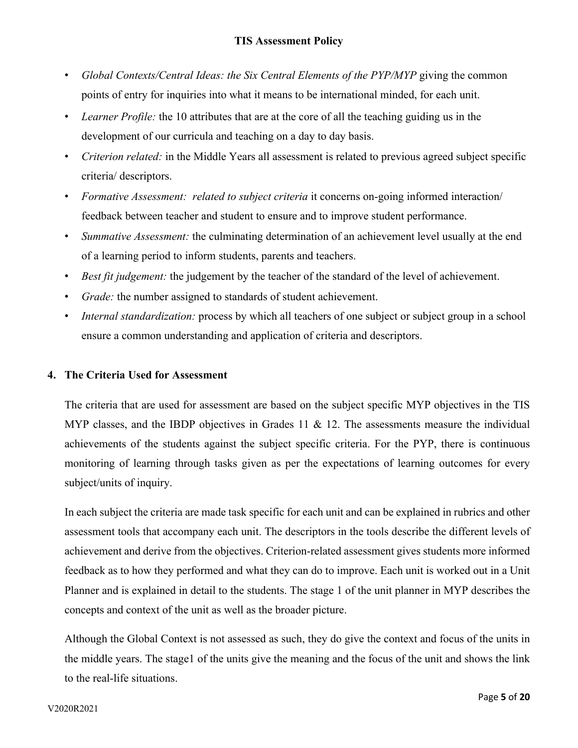- *Global Contexts/Central Ideas: the Six Central Elements of the PYP/MYP* giving the common points of entry for inquiries into what it means to be international minded, for each unit.
- *Learner Profile:* the 10 attributes that are at the core of all the teaching guiding us in the development of our curricula and teaching on a day to day basis.
- *Criterion related:* in the Middle Years all assessment is related to previous agreed subject specific criteria/ descriptors.
- *Formative Assessment: related to subject criteria* it concerns on-going informed interaction/ feedback between teacher and student to ensure and to improve student performance.
- *Summative Assessment:* the culminating determination of an achievement level usually at the end of a learning period to inform students, parents and teachers.
- *Best fit judgement:* the judgement by the teacher of the standard of the level of achievement.
- *Grade:* the number assigned to standards of student achievement.
- *Internal standardization:* process by which all teachers of one subject or subject group in a school ensure a common understanding and application of criteria and descriptors.

### **4. The Criteria Used for Assessment**

The criteria that are used for assessment are based on the subject specific MYP objectives in the TIS MYP classes, and the IBDP objectives in Grades 11  $\&$  12. The assessments measure the individual achievements of the students against the subject specific criteria. For the PYP, there is continuous monitoring of learning through tasks given as per the expectations of learning outcomes for every subject/units of inquiry.

In each subject the criteria are made task specific for each unit and can be explained in rubrics and other assessment tools that accompany each unit. The descriptors in the tools describe the different levels of achievement and derive from the objectives. Criterion-related assessment gives students more informed feedback as to how they performed and what they can do to improve. Each unit is worked out in a Unit Planner and is explained in detail to the students. The stage 1 of the unit planner in MYP describes the concepts and context of the unit as well as the broader picture.

Although the Global Context is not assessed as such, they do give the context and focus of the units in the middle years. The stage1 of the units give the meaning and the focus of the unit and shows the link to the real-life situations.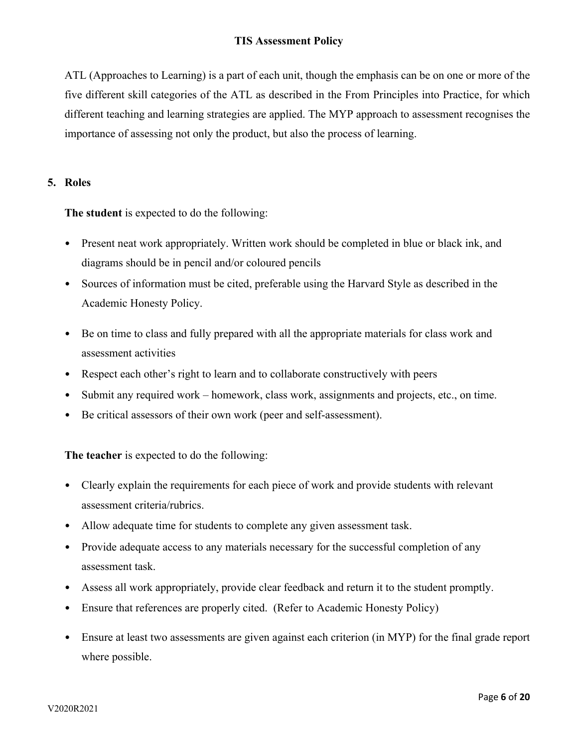ATL (Approaches to Learning) is a part of each unit, though the emphasis can be on one or more of the five different skill categories of the ATL as described in the From Principles into Practice, for which different teaching and learning strategies are applied. The MYP approach to assessment recognises the importance of assessing not only the product, but also the process of learning.

## **5. Roles**

**The student** is expected to do the following:

- Present neat work appropriately. Written work should be completed in blue or black ink, and diagrams should be in pencil and/or coloured pencils
- Sources of information must be cited, preferable using the Harvard Style as described in the Academic Honesty Policy.
- Be on time to class and fully prepared with all the appropriate materials for class work and assessment activities
- Respect each other's right to learn and to collaborate constructively with peers
- Submit any required work homework, class work, assignments and projects, etc., on time.
- Be critical assessors of their own work (peer and self-assessment).

**The teacher** is expected to do the following:

- Clearly explain the requirements for each piece of work and provide students with relevant assessment criteria/rubrics.
- Allow adequate time for students to complete any given assessment task.
- Provide adequate access to any materials necessary for the successful completion of any assessment task.
- Assess all work appropriately, provide clear feedback and return it to the student promptly.
- Ensure that references are properly cited. (Refer to Academic Honesty Policy)
- Ensure at least two assessments are given against each criterion (in MYP) for the final grade report where possible.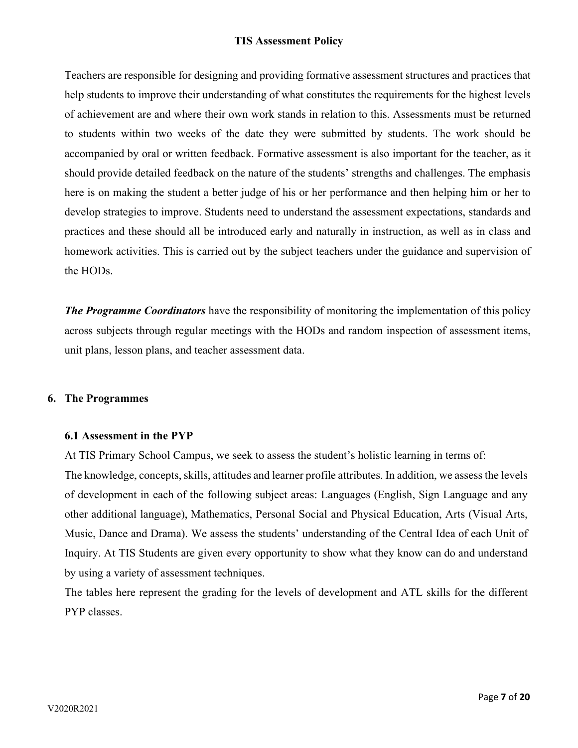Teachers are responsible for designing and providing formative assessment structures and practices that help students to improve their understanding of what constitutes the requirements for the highest levels of achievement are and where their own work stands in relation to this. Assessments must be returned to students within two weeks of the date they were submitted by students. The work should be accompanied by oral or written feedback. Formative assessment is also important for the teacher, as it should provide detailed feedback on the nature of the students' strengths and challenges. The emphasis here is on making the student a better judge of his or her performance and then helping him or her to develop strategies to improve. Students need to understand the assessment expectations, standards and practices and these should all be introduced early and naturally in instruction, as well as in class and homework activities. This is carried out by the subject teachers under the guidance and supervision of the HODs.

*The Programme Coordinators* have the responsibility of monitoring the implementation of this policy across subjects through regular meetings with the HODs and random inspection of assessment items, unit plans, lesson plans, and teacher assessment data.

#### **6. The Programmes**

### **6.1 Assessment in the PYP**

At TIS Primary School Campus, we seek to assess the student's holistic learning in terms of: The knowledge, concepts, skills, attitudes and learner profile attributes. In addition, we assess the levels of development in each of the following subject areas: Languages (English, Sign Language and any other additional language), Mathematics, Personal Social and Physical Education, Arts (Visual Arts, Music, Dance and Drama). We assess the students' understanding of the Central Idea of each Unit of Inquiry. At TIS Students are given every opportunity to show what they know can do and understand by using a variety of assessment techniques.

The tables here represent the grading for the levels of development and ATL skills for the different PYP classes.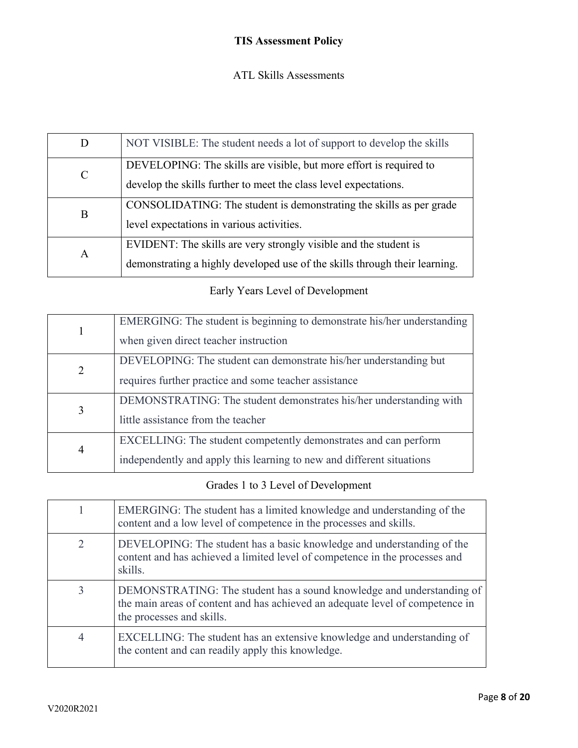# ATL Skills Assessments

| D | NOT VISIBLE: The student needs a lot of support to develop the skills      |
|---|----------------------------------------------------------------------------|
| C | DEVELOPING: The skills are visible, but more effort is required to         |
|   | develop the skills further to meet the class level expectations.           |
| B | CONSOLIDATING: The student is demonstrating the skills as per grade        |
|   | level expectations in various activities.                                  |
|   | EVIDENT: The skills are very strongly visible and the student is           |
| A | demonstrating a highly developed use of the skills through their learning. |

# Early Years Level of Development

|                | EMERGING: The student is beginning to demonstrate his/her understanding |
|----------------|-------------------------------------------------------------------------|
|                | when given direct teacher instruction                                   |
| 2              | DEVELOPING: The student can demonstrate his/her understanding but       |
|                | requires further practice and some teacher assistance                   |
|                | DEMONSTRATING: The student demonstrates his/her understanding with      |
| 3              | little assistance from the teacher                                      |
|                | EXCELLING: The student competently demonstrates and can perform         |
| $\overline{4}$ | independently and apply this learning to new and different situations   |

# Grades 1 to 3 Level of Development

|                | EMERGING: The student has a limited knowledge and understanding of the<br>content and a low level of competence in the processes and skills.                                        |
|----------------|-------------------------------------------------------------------------------------------------------------------------------------------------------------------------------------|
| 2              | DEVELOPING: The student has a basic knowledge and understanding of the<br>content and has achieved a limited level of competence in the processes and<br>skills.                    |
| 3              | DEMONSTRATING: The student has a sound knowledge and understanding of<br>the main areas of content and has achieved an adequate level of competence in<br>the processes and skills. |
| $\overline{4}$ | EXCELLING: The student has an extensive knowledge and understanding of<br>the content and can readily apply this knowledge.                                                         |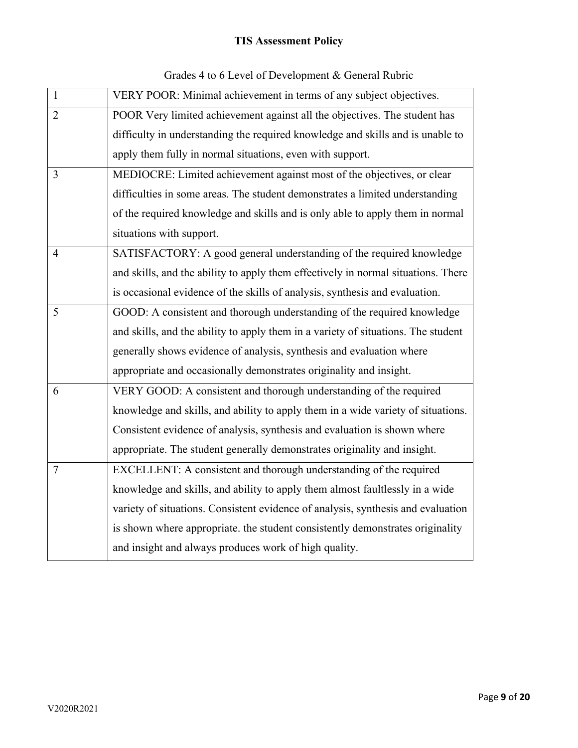| $\mathbf{1}$   | VERY POOR: Minimal achievement in terms of any subject objectives.                |
|----------------|-----------------------------------------------------------------------------------|
| $\overline{2}$ | POOR Very limited achievement against all the objectives. The student has         |
|                | difficulty in understanding the required knowledge and skills and is unable to    |
|                | apply them fully in normal situations, even with support.                         |
| 3              | MEDIOCRE: Limited achievement against most of the objectives, or clear            |
|                | difficulties in some areas. The student demonstrates a limited understanding      |
|                | of the required knowledge and skills and is only able to apply them in normal     |
|                | situations with support.                                                          |
| $\overline{4}$ | SATISFACTORY: A good general understanding of the required knowledge              |
|                | and skills, and the ability to apply them effectively in normal situations. There |
|                | is occasional evidence of the skills of analysis, synthesis and evaluation.       |
| 5              | GOOD: A consistent and thorough understanding of the required knowledge           |
|                | and skills, and the ability to apply them in a variety of situations. The student |
|                | generally shows evidence of analysis, synthesis and evaluation where              |
|                | appropriate and occasionally demonstrates originality and insight.                |
| 6              | VERY GOOD: A consistent and thorough understanding of the required                |
|                | knowledge and skills, and ability to apply them in a wide variety of situations.  |
|                | Consistent evidence of analysis, synthesis and evaluation is shown where          |
|                | appropriate. The student generally demonstrates originality and insight.          |
| $\overline{7}$ | EXCELLENT: A consistent and thorough understanding of the required                |
|                | knowledge and skills, and ability to apply them almost faultlessly in a wide      |
|                | variety of situations. Consistent evidence of analysis, synthesis and evaluation  |
|                | is shown where appropriate. the student consistently demonstrates originality     |
|                | and insight and always produces work of high quality.                             |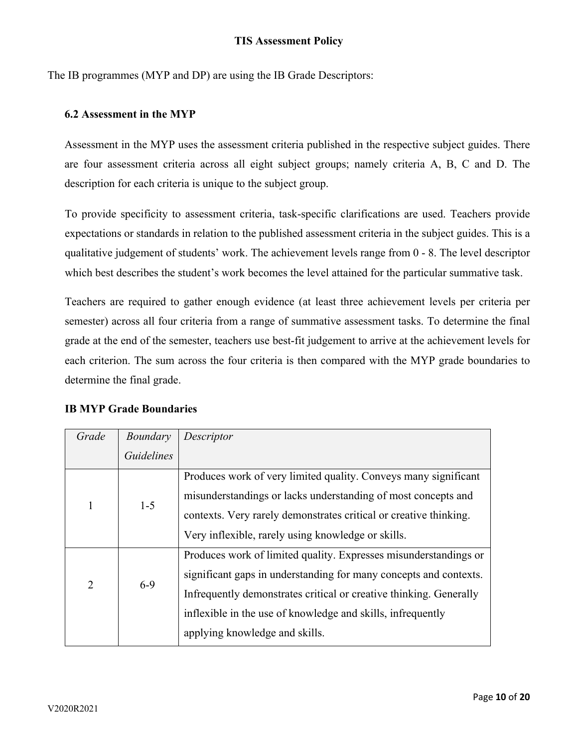The IB programmes (MYP and DP) are using the IB Grade Descriptors:

### **6.2 Assessment in the MYP**

Assessment in the MYP uses the assessment criteria published in the respective subject guides. There are four assessment criteria across all eight subject groups; namely criteria A, B, C and D. The description for each criteria is unique to the subject group.

To provide specificity to assessment criteria, task-specific clarifications are used. Teachers provide expectations or standards in relation to the published assessment criteria in the subject guides. This is a qualitative judgement of students' work. The achievement levels range from 0 - 8. The level descriptor which best describes the student's work becomes the level attained for the particular summative task.

Teachers are required to gather enough evidence (at least three achievement levels per criteria per semester) across all four criteria from a range of summative assessment tasks. To determine the final grade at the end of the semester, teachers use best-fit judgement to arrive at the achievement levels for each criterion. The sum across the four criteria is then compared with the MYP grade boundaries to determine the final grade.

### **IB MYP Grade Boundaries**

| Grade          | Boundary          | Descriptor                                                         |
|----------------|-------------------|--------------------------------------------------------------------|
|                | <b>Guidelines</b> |                                                                    |
|                |                   | Produces work of very limited quality. Conveys many significant    |
| 1              | $1 - 5$           | misunderstandings or lacks understanding of most concepts and      |
|                |                   | contexts. Very rarely demonstrates critical or creative thinking.  |
|                |                   | Very inflexible, rarely using knowledge or skills.                 |
|                | $6-9$             | Produces work of limited quality. Expresses misunderstandings or   |
| $\overline{2}$ |                   | significant gaps in understanding for many concepts and contexts.  |
|                |                   | Infrequently demonstrates critical or creative thinking. Generally |
|                |                   | inflexible in the use of knowledge and skills, infrequently        |
|                |                   | applying knowledge and skills.                                     |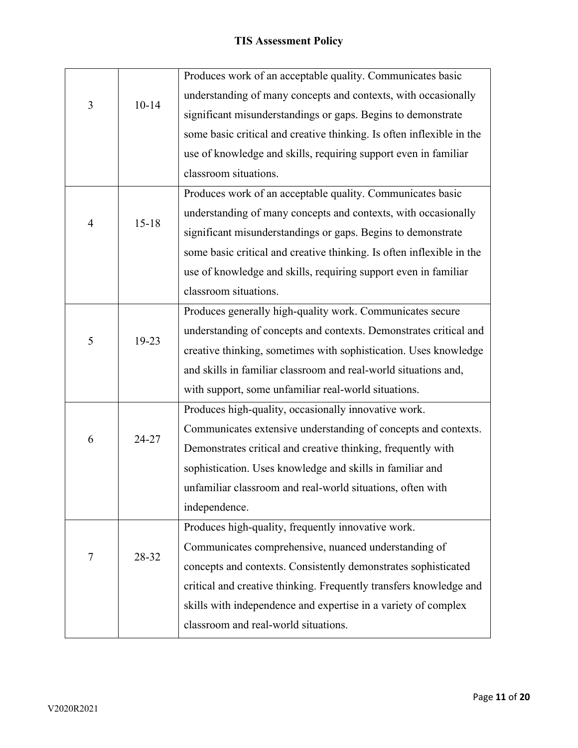|                |           | Produces work of an acceptable quality. Communicates basic            |  |  |  |  |  |  |
|----------------|-----------|-----------------------------------------------------------------------|--|--|--|--|--|--|
| $\mathfrak{Z}$ | $10 - 14$ | understanding of many concepts and contexts, with occasionally        |  |  |  |  |  |  |
|                |           | significant misunderstandings or gaps. Begins to demonstrate          |  |  |  |  |  |  |
|                |           | some basic critical and creative thinking. Is often inflexible in the |  |  |  |  |  |  |
|                |           | use of knowledge and skills, requiring support even in familiar       |  |  |  |  |  |  |
|                |           | classroom situations.                                                 |  |  |  |  |  |  |
|                |           | Produces work of an acceptable quality. Communicates basic            |  |  |  |  |  |  |
|                |           | understanding of many concepts and contexts, with occasionally        |  |  |  |  |  |  |
| 4              | $15 - 18$ | significant misunderstandings or gaps. Begins to demonstrate          |  |  |  |  |  |  |
|                |           | some basic critical and creative thinking. Is often inflexible in the |  |  |  |  |  |  |
|                |           | use of knowledge and skills, requiring support even in familiar       |  |  |  |  |  |  |
|                |           | classroom situations.                                                 |  |  |  |  |  |  |
|                |           | Produces generally high-quality work. Communicates secure             |  |  |  |  |  |  |
|                |           | understanding of concepts and contexts. Demonstrates critical and     |  |  |  |  |  |  |
| 5              | 19-23     | creative thinking, sometimes with sophistication. Uses knowledge      |  |  |  |  |  |  |
|                |           | and skills in familiar classroom and real-world situations and,       |  |  |  |  |  |  |
|                |           | with support, some unfamiliar real-world situations.                  |  |  |  |  |  |  |
|                |           | Produces high-quality, occasionally innovative work.                  |  |  |  |  |  |  |
|                |           | Communicates extensive understanding of concepts and contexts.        |  |  |  |  |  |  |
| 6              | 24-27     | Demonstrates critical and creative thinking, frequently with          |  |  |  |  |  |  |
|                |           | sophistication. Uses knowledge and skills in familiar and             |  |  |  |  |  |  |
|                |           | unfamiliar classroom and real-world situations, often with            |  |  |  |  |  |  |
|                |           | independence.                                                         |  |  |  |  |  |  |
|                |           | Produces high-quality, frequently innovative work.                    |  |  |  |  |  |  |
|                | 28-32     | Communicates comprehensive, nuanced understanding of                  |  |  |  |  |  |  |
| 7              |           | concepts and contexts. Consistently demonstrates sophisticated        |  |  |  |  |  |  |
|                |           | critical and creative thinking. Frequently transfers knowledge and    |  |  |  |  |  |  |
|                |           | skills with independence and expertise in a variety of complex        |  |  |  |  |  |  |
|                |           | classroom and real-world situations.                                  |  |  |  |  |  |  |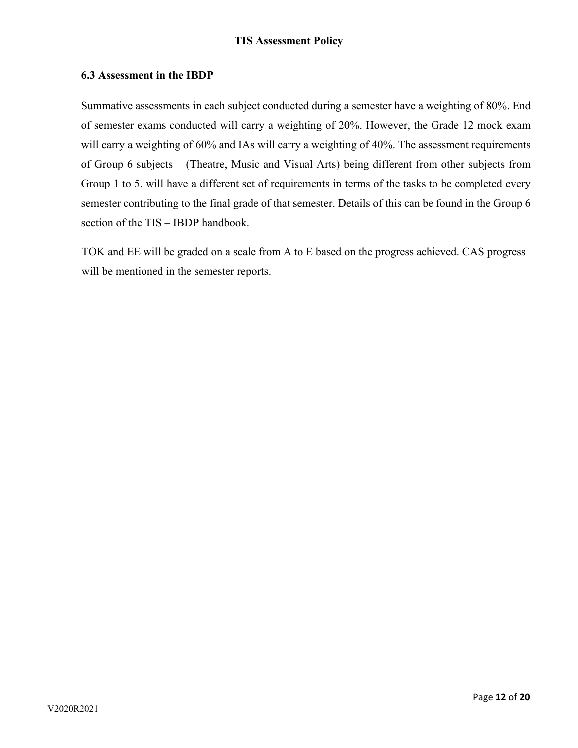### **6.3 Assessment in the IBDP**

Summative assessments in each subject conducted during a semester have a weighting of 80%. End of semester exams conducted will carry a weighting of 20%. However, the Grade 12 mock exam will carry a weighting of 60% and IAs will carry a weighting of 40%. The assessment requirements of Group 6 subjects – (Theatre, Music and Visual Arts) being different from other subjects from Group 1 to 5, will have a different set of requirements in terms of the tasks to be completed every semester contributing to the final grade of that semester. Details of this can be found in the Group 6 section of the TIS – IBDP handbook.

TOK and EE will be graded on a scale from A to E based on the progress achieved. CAS progress will be mentioned in the semester reports.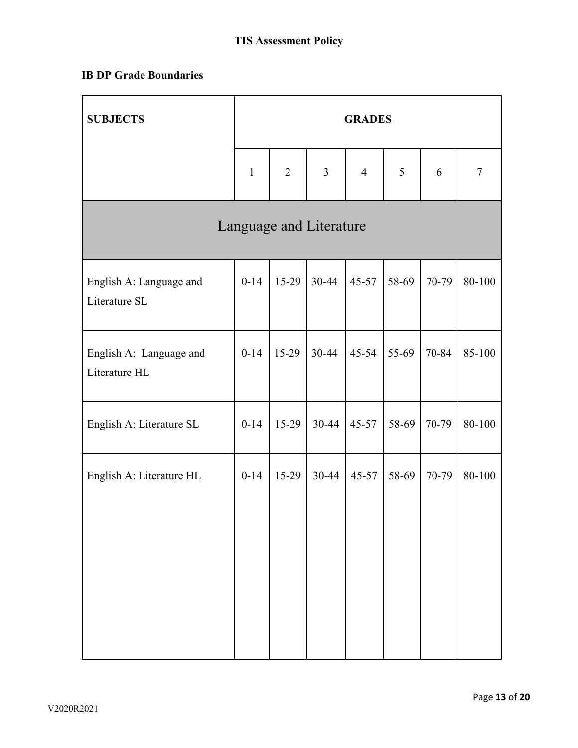# **IB DP Grade Boundaries**

| <b>SUBJECTS</b>                          | <b>GRADES</b> |                |                         |                |       |       |        |  |
|------------------------------------------|---------------|----------------|-------------------------|----------------|-------|-------|--------|--|
|                                          | $\mathbf{1}$  | $\overline{2}$ | $\overline{3}$          | $\overline{4}$ | 5     | 6     | $\tau$ |  |
|                                          |               |                | Language and Literature |                |       |       |        |  |
| English A: Language and<br>Literature SL | $0 - 14$      | $15-29$        | $30 - 44$               | $45 - 57$      | 58-69 | 70-79 | 80-100 |  |
| English A: Language and<br>Literature HL | $0-14$        | 15-29          | 30-44                   | $45 - 54$      | 55-69 | 70-84 | 85-100 |  |
| English A: Literature SL                 | $0 - 14$      | 15-29          | $30-44$                 | $45 - 57$      | 58-69 | 70-79 | 80-100 |  |
| English A: Literature HL                 | $0 - 14$      | $15-29$        | $30 - 44$               | $45 - 57$      | 58-69 | 70-79 | 80-100 |  |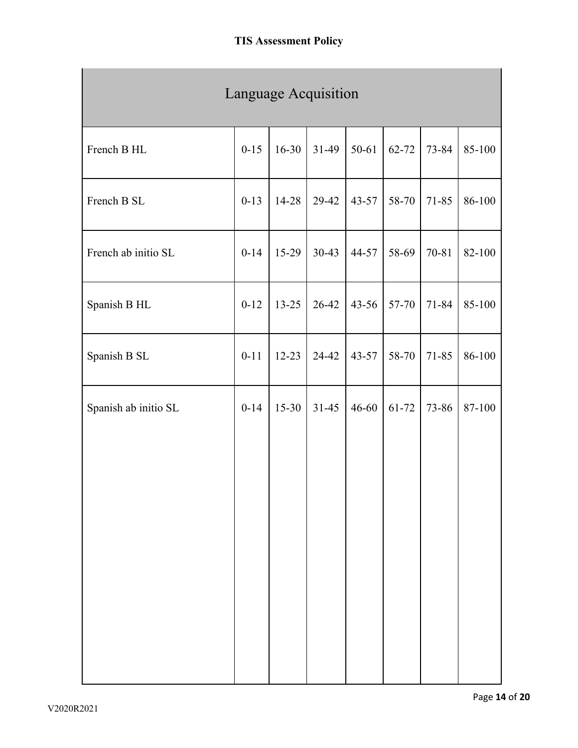| Language Acquisition |          |           |           |           |           |           |        |  |  |
|----------------------|----------|-----------|-----------|-----------|-----------|-----------|--------|--|--|
| French B HL          | $0 - 15$ | $16 - 30$ | $31-49$   | 50-61     | $62 - 72$ | 73-84     | 85-100 |  |  |
| French B SL          | $0-13$   | $14 - 28$ | 29-42     | $43 - 57$ | 58-70     | 71-85     | 86-100 |  |  |
| French ab initio SL  | $0 - 14$ | 15-29     | $30-43$   | 44-57     | 58-69     | 70-81     | 82-100 |  |  |
| Spanish B HL         | $0 - 12$ | $13 - 25$ | 26-42     | $43 - 56$ | 57-70     | 71-84     | 85-100 |  |  |
| Spanish B SL         | $0 - 11$ | $12 - 23$ | 24-42     | $43 - 57$ | 58-70     | $71 - 85$ | 86-100 |  |  |
| Spanish ab initio SL | $0 - 14$ | $15 - 30$ | $31 - 45$ | $46 - 60$ | 61-72     | 73-86     | 87-100 |  |  |
|                      |          |           |           |           |           |           |        |  |  |
|                      |          |           |           |           |           |           |        |  |  |
|                      |          |           |           |           |           |           |        |  |  |
|                      |          |           |           |           |           |           |        |  |  |
|                      |          |           |           |           |           |           |        |  |  |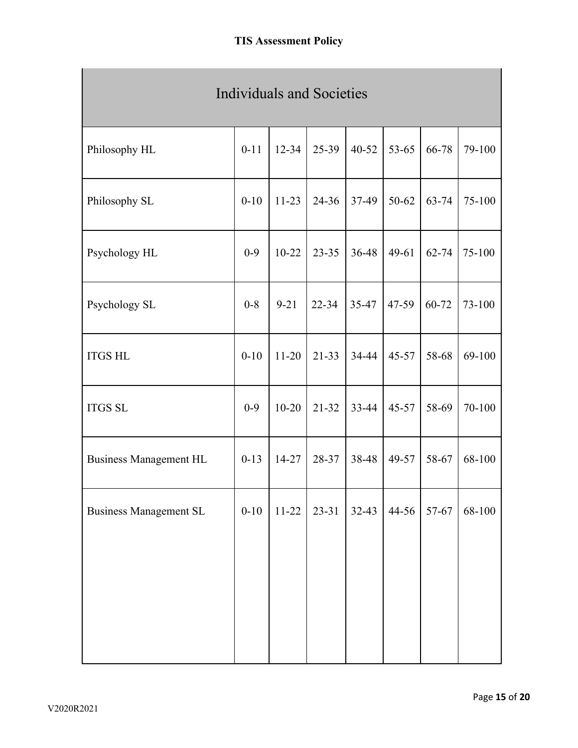| <b>Individuals and Societies</b> |          |           |           |           |           |           |        |  |  |
|----------------------------------|----------|-----------|-----------|-----------|-----------|-----------|--------|--|--|
| Philosophy HL                    | $0 - 11$ | $12 - 34$ | 25-39     | $40 - 52$ | $53 - 65$ | 66-78     | 79-100 |  |  |
| Philosophy SL                    | $0 - 10$ | $11-23$   | $24 - 36$ | 37-49     | $50 - 62$ | $63 - 74$ | 75-100 |  |  |
| Psychology HL                    | $0 - 9$  | $10 - 22$ | $23 - 35$ | 36-48     | $49 - 61$ | $62 - 74$ | 75-100 |  |  |
| Psychology SL                    | $0 - 8$  | $9 - 21$  | $22 - 34$ | 35-47     | 47-59     | 60-72     | 73-100 |  |  |
| <b>ITGS HL</b>                   | $0 - 10$ | $11 - 20$ | $21 - 33$ | 34-44     | $45 - 57$ | 58-68     | 69-100 |  |  |
| <b>ITGS SL</b>                   | $0 - 9$  | $10 - 20$ | $21 - 32$ | 33-44     | $45 - 57$ | 58-69     | 70-100 |  |  |
| <b>Business Management HL</b>    | $0-13$   | $14 - 27$ | 28-37     | 38-48     | 49-57     | 58-67     | 68-100 |  |  |
| <b>Business Management SL</b>    | $0 - 10$ | $11-22$   | $23 - 31$ | $32-43$   | 44-56     | 57-67     | 68-100 |  |  |
|                                  |          |           |           |           |           |           |        |  |  |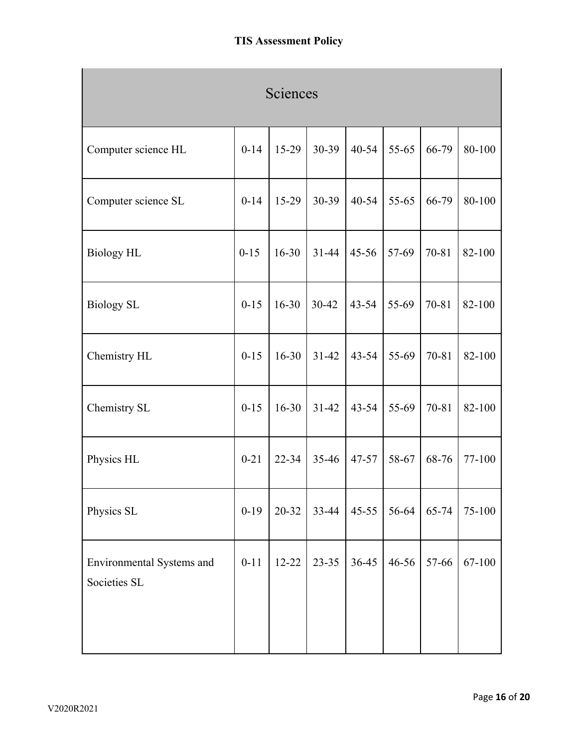| Sciences                                  |          |           |           |           |           |           |        |  |  |
|-------------------------------------------|----------|-----------|-----------|-----------|-----------|-----------|--------|--|--|
| Computer science HL                       | $0 - 14$ | 15-29     | 30-39     | $40 - 54$ | 55-65     | 66-79     | 80-100 |  |  |
| Computer science SL                       | $0 - 14$ | $15-29$   | 30-39     | $40 - 54$ | $55 - 65$ | 66-79     | 80-100 |  |  |
| <b>Biology HL</b>                         | $0 - 15$ | $16 - 30$ | $31 - 44$ | $45 - 56$ | 57-69     | 70-81     | 82-100 |  |  |
| <b>Biology SL</b>                         | $0 - 15$ | $16 - 30$ | $30 - 42$ | $43 - 54$ | 55-69     | 70-81     | 82-100 |  |  |
| Chemistry HL                              | $0 - 15$ | $16 - 30$ | $31 - 42$ | $43 - 54$ | 55-69     | 70-81     | 82-100 |  |  |
| Chemistry SL                              | $0 - 15$ | $16 - 30$ | $31 - 42$ | $43 - 54$ | 55-69     | $70 - 81$ | 82-100 |  |  |
| Physics HL                                | $0 - 21$ | $22 - 34$ | $35 - 46$ | $47 - 57$ | 58-67     | 68-76     | 77-100 |  |  |
| Physics SL                                | $0 - 19$ | $20 - 32$ | $33-44$   | $45 - 55$ | 56-64     | $65 - 74$ | 75-100 |  |  |
| Environmental Systems and<br>Societies SL | $0 - 11$ | $12 - 22$ | $23 - 35$ | $36 - 45$ | $46 - 56$ | 57-66     | 67-100 |  |  |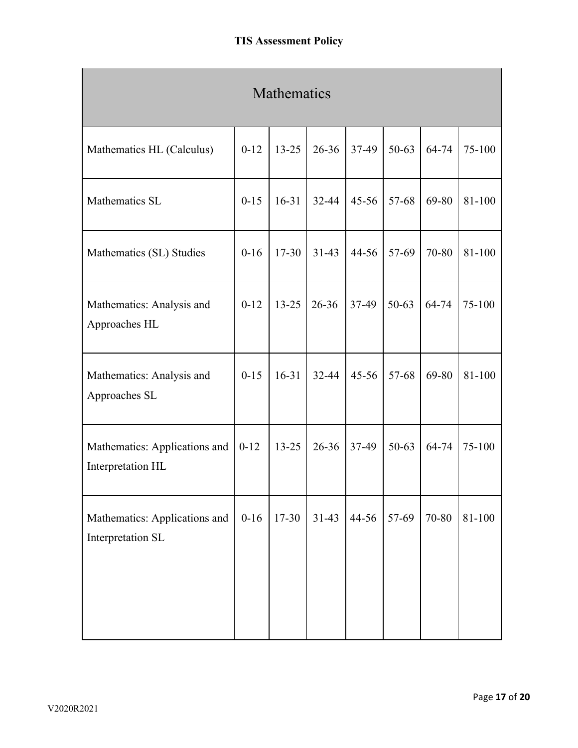| Mathematics                                        |          |           |           |           |           |       |            |  |  |
|----------------------------------------------------|----------|-----------|-----------|-----------|-----------|-------|------------|--|--|
| Mathematics HL (Calculus)                          | $0 - 12$ | $13 - 25$ | $26 - 36$ | 37-49     | $50 - 63$ | 64-74 | 75-100     |  |  |
| Mathematics SL                                     | $0 - 15$ | $16 - 31$ | 32-44     | $45 - 56$ | 57-68     | 69-80 | 81-100     |  |  |
| Mathematics (SL) Studies                           | $0-16$   | $17 - 30$ | $31 - 43$ | 44-56     | 57-69     | 70-80 | 81-100     |  |  |
| Mathematics: Analysis and<br>Approaches HL         | $0-12$   | $13 - 25$ | $26 - 36$ | 37-49     | $50 - 63$ | 64-74 | 75-100     |  |  |
| Mathematics: Analysis and<br>Approaches SL         | $0 - 15$ | $16 - 31$ | $32 - 44$ | $45 - 56$ | 57-68     | 69-80 | 81-100     |  |  |
| Mathematics: Applications and<br>Interpretation HL | $0 - 12$ | $13 - 25$ | $26 - 36$ | 37-49     | 50-63     | 64-74 | 75-100     |  |  |
| Mathematics: Applications and<br>Interpretation SL | $0 - 16$ | 17-30     | $31-43$   | 44-56     | 57-69     | 70-80 | $81 - 100$ |  |  |
|                                                    |          |           |           |           |           |       |            |  |  |

×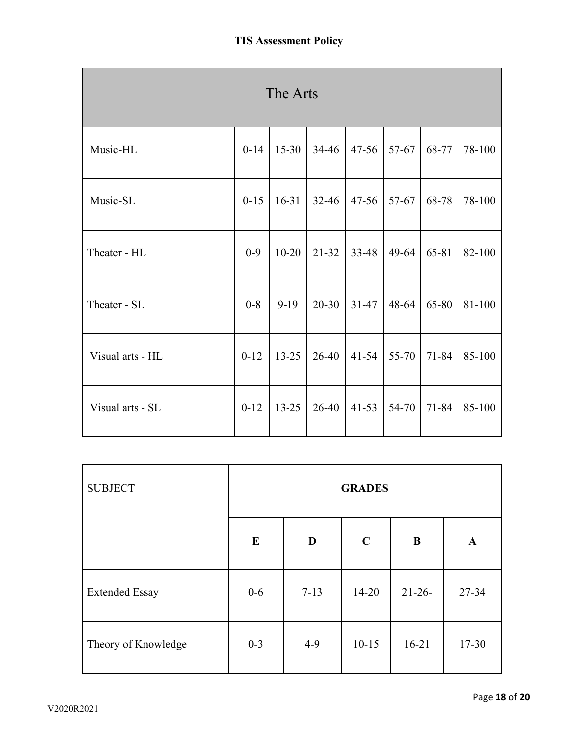| The Arts         |          |           |           |           |       |           |        |
|------------------|----------|-----------|-----------|-----------|-------|-----------|--------|
| Music-HL         | $0 - 14$ | $15 - 30$ | 34-46     | $47 - 56$ | 57-67 | 68-77     | 78-100 |
| Music-SL         | $0 - 15$ | $16 - 31$ | $32 - 46$ | $47 - 56$ | 57-67 | 68-78     | 78-100 |
| Theater - HL     | $0 - 9$  | $10 - 20$ | $21-32$   | 33-48     | 49-64 | 65-81     | 82-100 |
| Theater - SL     | $0 - 8$  | $9-19$    | $20 - 30$ | $31 - 47$ | 48-64 | 65-80     | 81-100 |
| Visual arts - HL | $0-12$   | $13 - 25$ | 26-40     | $41 - 54$ | 55-70 | $71 - 84$ | 85-100 |
| Visual arts - SL | $0 - 12$ | $13 - 25$ | 26-40     | $41 - 53$ | 54-70 | 71-84     | 85-100 |

| <b>SUBJECT</b>        | <b>GRADES</b> |          |             |           |              |
|-----------------------|---------------|----------|-------------|-----------|--------------|
|                       | $\bf{E}$      | D        | $\mathbf C$ | $\bf{B}$  | $\mathbf{A}$ |
| <b>Extended Essay</b> | $0-6$         | $7 - 13$ | $14 - 20$   | $21-26-$  | 27-34        |
| Theory of Knowledge   | $0 - 3$       | $4-9$    | $10 - 15$   | $16 - 21$ | $17 - 30$    |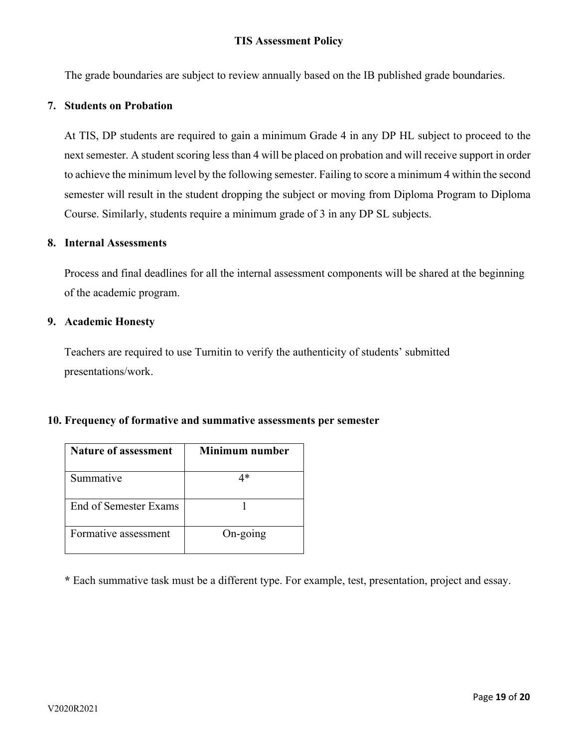The grade boundaries are subject to review annually based on the IB published grade boundaries.

### **7. Students on Probation**

At TIS, DP students are required to gain a minimum Grade 4 in any DP HL subject to proceed to the next semester. A student scoring less than 4 will be placed on probation and will receive support in order to achieve the minimum level by the following semester. Failing to score a minimum 4 within the second semester will result in the student dropping the subject or moving from Diploma Program to Diploma Course. Similarly, students require a minimum grade of 3 in any DP SL subjects.

#### **8. Internal Assessments**

Process and final deadlines for all the internal assessment components will be shared at the beginning of the academic program.

### **9. Academic Honesty**

Teachers are required to use Turnitin to verify the authenticity of students' submitted presentations/work.

#### **10. Frequency of formative and summative assessments per semester**

| <b>Nature of assessment</b> | Minimum number |
|-----------------------------|----------------|
| Summative                   | ⁄l *           |
| End of Semester Exams       |                |
| Formative assessment        | On-going       |

**\*** Each summative task must be a different type. For example, test, presentation, project and essay.